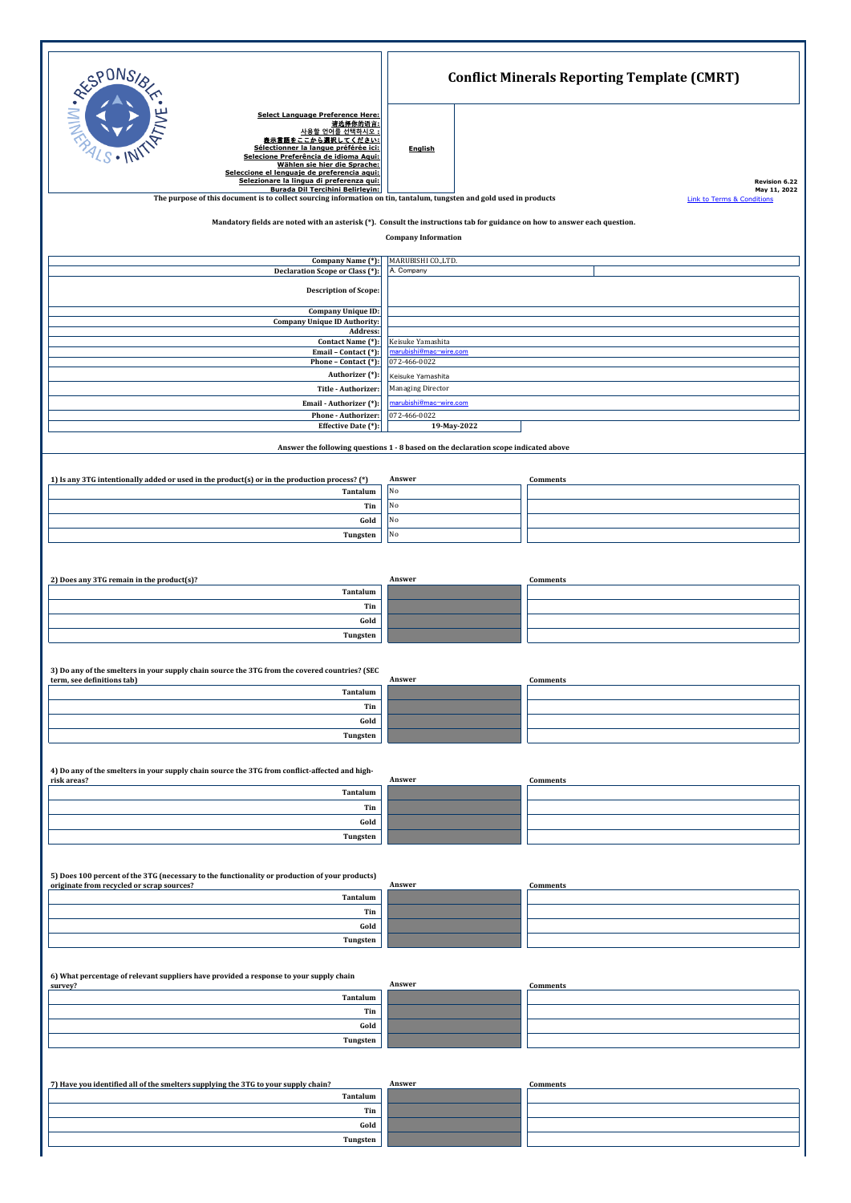| <b>RESPONS</b>                                                                                                                                                                                                                                                                              | <b>Conflict Minerals Reporting Template (CMRT)</b> |                               |  |  |
|---------------------------------------------------------------------------------------------------------------------------------------------------------------------------------------------------------------------------------------------------------------------------------------------|----------------------------------------------------|-------------------------------|--|--|
| Select Language Preference Here:<br>请选择你的语言:<br><u>사용할 언어를 선택하시오</u><br>表示言語をここから選択してください:<br>Sélectionner la langue préférée ici:<br>Selecione Preferência de idioma Aqui:<br>Wählen sie hier die Sprache:<br>Seleccione el lenguaje de preferencia aqui:                                  | <b>English</b>                                     |                               |  |  |
| Selezionare la lingua di preferenza qui:<br>Burada Dil Tercihini Belirlevin:                                                                                                                                                                                                                |                                                    | Revision 6.22<br>May 11, 2022 |  |  |
| The purpose of this document is to collect sourcing information on tin, tantalum, tungsten and gold used in products<br><b>Link to Terms &amp; Conditions</b><br>Mandatory fields are noted with an asterisk (*). Consult the instructions tab for guidance on how to answer each question. |                                                    |                               |  |  |
| <b>Company Information</b>                                                                                                                                                                                                                                                                  |                                                    |                               |  |  |
| Company Name (*)<br>Declaration Scope or Class (*):                                                                                                                                                                                                                                         | MARUBISHI CO., LTD.<br>A. Company                  |                               |  |  |
| <b>Description of Scope:</b>                                                                                                                                                                                                                                                                |                                                    |                               |  |  |
| <b>Company Unique ID:</b>                                                                                                                                                                                                                                                                   |                                                    |                               |  |  |
| <b>Company Unique ID Authority:</b><br>Address:                                                                                                                                                                                                                                             |                                                    |                               |  |  |
| Contact Name (*):<br>Email - Contact (*)                                                                                                                                                                                                                                                    | Keisuke Yamashita<br>arubishi@mac-wire.com         |                               |  |  |
| Phone - Contact (*):<br>Authorizer (*):                                                                                                                                                                                                                                                     | 072-466-0022<br>Keisuke Yamashita                  |                               |  |  |
| Title - Authorizer:                                                                                                                                                                                                                                                                         | Managing Director                                  |                               |  |  |
| Email - Authorizer (*)<br>Phone - Authorizer:                                                                                                                                                                                                                                               | <u>narubishi@mac−wire.com</u><br>072-466-0022      |                               |  |  |
| Effective Date (*):                                                                                                                                                                                                                                                                         | 19-May-2022                                        |                               |  |  |
| Answer the following questions 1 - 8 based on the declaration scope indicated above                                                                                                                                                                                                         |                                                    |                               |  |  |
| 1) Is any 3TG intentionally added or used in the product(s) or in the production process? (*)                                                                                                                                                                                               | Answer                                             | Comments                      |  |  |
| Tantalum                                                                                                                                                                                                                                                                                    | No                                                 |                               |  |  |
| Tin<br>Gold                                                                                                                                                                                                                                                                                 | No<br>No                                           |                               |  |  |
| Tungsten                                                                                                                                                                                                                                                                                    | No                                                 |                               |  |  |
|                                                                                                                                                                                                                                                                                             |                                                    |                               |  |  |
| 2) Does any 3TG remain in the product(s)?                                                                                                                                                                                                                                                   | Answer                                             | <b>Comments</b>               |  |  |
| Tantalum                                                                                                                                                                                                                                                                                    |                                                    |                               |  |  |
| Tin<br>Gold                                                                                                                                                                                                                                                                                 |                                                    |                               |  |  |
| Tungsten                                                                                                                                                                                                                                                                                    |                                                    |                               |  |  |
|                                                                                                                                                                                                                                                                                             |                                                    |                               |  |  |
| 3) Do any of the smelters in your supply chain source the 3TG from the covered countries? (SEC<br>term, see definitions tab)                                                                                                                                                                | Answer                                             | Comments                      |  |  |
| Tantalum<br>Tin                                                                                                                                                                                                                                                                             |                                                    |                               |  |  |
| Gold                                                                                                                                                                                                                                                                                        |                                                    |                               |  |  |
| Tungsten                                                                                                                                                                                                                                                                                    |                                                    |                               |  |  |
| 4) Do any of the smelters in your supply chain source the 3TG from conflict-affected and high-                                                                                                                                                                                              |                                                    |                               |  |  |
| risk areas?<br>Tantalum                                                                                                                                                                                                                                                                     | Answer                                             | <b>Comments</b>               |  |  |
| Tin                                                                                                                                                                                                                                                                                         |                                                    |                               |  |  |
| Gold                                                                                                                                                                                                                                                                                        |                                                    |                               |  |  |
| Tungsten                                                                                                                                                                                                                                                                                    |                                                    |                               |  |  |
| 5) Does 100 percent of the 3TG (necessary to the functionality or production of your products)                                                                                                                                                                                              |                                                    |                               |  |  |
| originate from recycled or scrap sources?<br>Tantalum                                                                                                                                                                                                                                       | Answer                                             | <b>Comments</b>               |  |  |
| Tin                                                                                                                                                                                                                                                                                         |                                                    |                               |  |  |
| Gold                                                                                                                                                                                                                                                                                        |                                                    |                               |  |  |
| Tungsten                                                                                                                                                                                                                                                                                    |                                                    |                               |  |  |
| 6) What percentage of relevant suppliers have provided a response to your supply chain                                                                                                                                                                                                      |                                                    |                               |  |  |
| survey?<br>Tantalum                                                                                                                                                                                                                                                                         | Answer                                             | <b>Comments</b>               |  |  |
| Tin                                                                                                                                                                                                                                                                                         |                                                    |                               |  |  |
| Gold<br>Tungsten                                                                                                                                                                                                                                                                            |                                                    |                               |  |  |
|                                                                                                                                                                                                                                                                                             |                                                    |                               |  |  |
| 7) Have you identified all of the smelters supplying the 3TG to your supply chain?                                                                                                                                                                                                          | Answer                                             | <b>Comments</b>               |  |  |
| Tantalum                                                                                                                                                                                                                                                                                    |                                                    |                               |  |  |
| Tin<br>Gold                                                                                                                                                                                                                                                                                 |                                                    |                               |  |  |
| Tungsten                                                                                                                                                                                                                                                                                    |                                                    |                               |  |  |